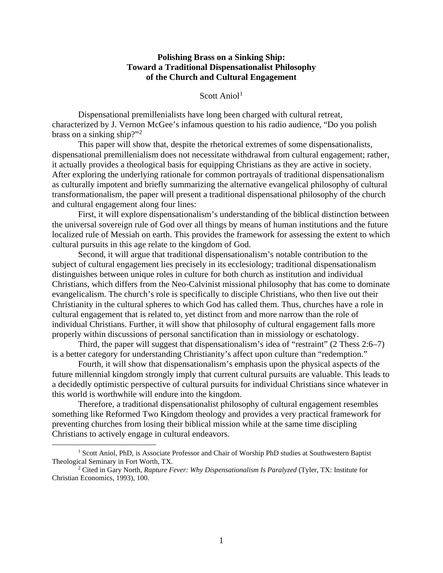# **Polishing Brass on a Sinking Ship: Toward a Traditional Dispensationalist Philosophy of the Church and Cultural Engagement**

Scott Anio $1<sup>1</sup>$  $1<sup>1</sup>$ 

Dispensational premillenialists have long been charged with cultural retreat, characterized by J. Vernon McGee's infamous question to his radio audience, "Do you polish brass on a sinking ship?"[2](#page-0-1)

This paper will show that, despite the rhetorical extremes of some dispensationalists, dispensational premillenialism does not necessitate withdrawal from cultural engagement; rather, it actually provides a theological basis for equipping Christians as they are active in society. After exploring the underlying rationale for common portrayals of traditional dispensationalism as culturally impotent and briefly summarizing the alternative evangelical philosophy of cultural transformationalism, the paper will present a traditional dispensational philosophy of the church and cultural engagement along four lines:

First, it will explore dispensationalism's understanding of the biblical distinction between the universal sovereign rule of God over all things by means of human institutions and the future localized rule of Messiah on earth. This provides the framework for assessing the extent to which cultural pursuits in this age relate to the kingdom of God.

Second, it will argue that traditional dispensationalism's notable contribution to the subject of cultural engagement lies precisely in its ecclesiology; traditional dispensationalism distinguishes between unique roles in culture for both church as institution and individual Christians, which differs from the Neo-Calvinist missional philosophy that has come to dominate evangelicalism. The church's role is specifically to disciple Christians, who then live out their Christianity in the cultural spheres to which God has called them. Thus, churches have a role in cultural engagement that is related to, yet distinct from and more narrow than the role of individual Christians. Further, it will show that philosophy of cultural engagement falls more properly within discussions of personal sanctification than in missiology or eschatology.

Third, the paper will suggest that dispensationalism's idea of "restraint" (2 Thess 2:6–7) is a better category for understanding Christianity's affect upon culture than "redemption."

Fourth, it will show that dispensationalism's emphasis upon the physical aspects of the future millennial kingdom strongly imply that current cultural pursuits are valuable. This leads to a decidedly optimistic perspective of cultural pursuits for individual Christians since whatever in this world is worthwhile will endure into the kingdom.

Therefore, a traditional dispensationalist philosophy of cultural engagement resembles something like Reformed Two Kingdom theology and provides a very practical framework for preventing churches from losing their biblical mission while at the same time discipling Christians to actively engage in cultural endeavors.

<span id="page-0-0"></span><sup>&</sup>lt;sup>1</sup> Scott Aniol, PhD, is Associate Professor and Chair of Worship PhD studies at Southwestern Baptist Theological Seminary in Fort Worth, TX.

<span id="page-0-1"></span><sup>2</sup> Cited in Gary North, *Rapture Fever: Why Dispensationalism Is Paralyzed* (Tyler, TX: Institute for Christian Economics, 1993), 100.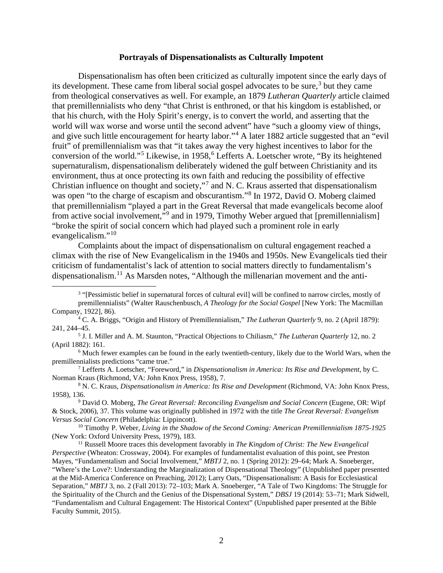#### **Portrayals of Dispensationalists as Culturally Impotent**

Dispensationalism has often been criticized as culturally impotent since the early days of its development. These came from liberal social gospel advocates to be sure,<sup>[3](#page-1-0)</sup> but they came from theological conservatives as well. For example, an 1879 *Lutheran Quarterly* article claimed that premillennialists who deny "that Christ is enthroned, or that his kingdom is established, or that his church, with the Holy Spirit's energy, is to convert the world, and asserting that the world will wax worse and worse until the second advent" have "such a gloomy view of things, and give such little encouragement for hearty labor."[4](#page-1-1) A later 1882 article suggested that an "evil fruit" of premillennialism was that "it takes away the very highest incentives to labor for the conversion of the world."<sup>[5](#page-1-2)</sup> Likewise, in 1958,  $6$  Lefferts A. Loetscher wrote, "By its heightened supernaturalism, dispensationalism deliberately widened the gulf between Christianity and its environment, thus at once protecting its own faith and reducing the possibility of effective Christian influence on thought and society,"[7](#page-1-4) and N. C. Kraus asserted that dispensationalism was open "to the charge of escapism and obscurantism."<sup>[8](#page-1-5)</sup> In 1972, David O. Moberg claimed that premillennialism "played a part in the Great Reversal that made evangelicals become aloof from active social involvement,"[9](#page-1-6) and in 1979, Timothy Weber argued that [premillennialism] "broke the spirit of social concern which had played such a prominent role in early evangelicalism."[10](#page-1-7)

Complaints about the impact of dispensationalism on cultural engagement reached a climax with the rise of New Evangelicalism in the 1940s and 1950s. New Evangelicals tied their criticism of fundamentalist's lack of attention to social matters directly to fundamentalism's dispensationalism.<sup>[11](#page-1-8)</sup> As Marsden notes, "Although the millenarian movement and the anti-

<span id="page-1-0"></span><sup>&</sup>lt;sup>3</sup> "[Pessimistic belief in supernatural forces of cultural evil] will be confined to narrow circles, mostly of premillennialists" (Walter Rauschenbusch, *A Theology for the Social Gospel* [New York: The Macmillan Company, 1922], 86).

<span id="page-1-1"></span><sup>4</sup> C. A. Briggs, "Origin and History of Premillennialism," *The Lutheran Quarterly* 9, no. 2 (April 1879): 241, 244–45.

<span id="page-1-2"></span><sup>5</sup> J. I. Miller and A. M. Staunton, "Practical Objections to Chiliasm," *The Lutheran Quarterly* 12, no. 2 (April 1882): 161.

<span id="page-1-3"></span><sup>6</sup> Much fewer examples can be found in the early twentieth-century, likely due to the World Wars, when the premillennialists predictions "came true."

<span id="page-1-4"></span><sup>7</sup> Lefferts A. Loetscher, "Foreword," in *Dispensationalism in America: Its Rise and Development*, by C. Norman Kraus (Richmond, VA: John Knox Press, 1958), 7.

<span id="page-1-5"></span><sup>8</sup> N. C. Kraus, *Dispensationalism in America: Its Rise and Development* (Richmond, VA: John Knox Press, 1958), 136.

<span id="page-1-6"></span><sup>9</sup> David O. Moberg, *The Great Reversal: Reconciling Evangelism and Social Concern* (Eugene, OR: Wipf & Stock, 2006), 37. This volume was originally published in 1972 with the title *The Great Reversal: Evangelism Versus Social Concern* (Philadelphia: Lippincott).

<span id="page-1-7"></span><sup>10</sup> Timothy P. Weber, *Living in the Shadow of the Second Coming: American Premillennialism 1875-1925* (New York: Oxford University Press, 1979), 183.

<span id="page-1-8"></span><sup>11</sup> Russell Moore traces this development favorably in *The Kingdom of Christ: The New Evangelical Perspective* (Wheaton: Crossway, 2004). For examples of fundamentalist evaluation of this point, see Preston Mayes, "Fundamentalism and Social Involvement," *MBTJ* 2, no. 1 (Spring 2012): 29–64; Mark A. Snoeberger, "Where's the Love?: Understanding the Marginalization of Dispensational Theology" (Unpublished paper presented at the Mid-America Conference on Preaching, 2012); Larry Oats, "Dispensationalism: A Basis for Ecclesiastical Separation," *MBTJ* 3, no. 2 (Fall 2013): 72–103; Mark A. Snoeberger, "A Tale of Two Kingdoms: The Struggle for the Spirituality of the Church and the Genius of the Dispensational System," *DBSJ* 19 (2014): 53–71; Mark Sidwell, "Fundamentalism and Cultural Engagement: The Historical Context" (Unpublished paper presented at the Bible Faculty Summit, 2015).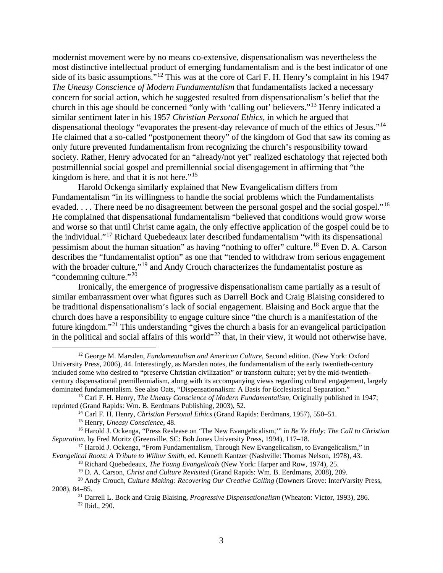modernist movement were by no means co-extensive, dispensationalism was nevertheless the most distinctive intellectual product of emerging fundamentalism and is the best indicator of one side of its basic assumptions."[12](#page-2-0) This was at the core of Carl F. H. Henry's complaint in his 1947 *The Uneasy Conscience of Modern Fundamentalism* that fundamentalists lacked a necessary concern for social action, which he suggested resulted from dispensationalism's belief that the church in this age should be concerned "only with 'calling out' believers."[13](#page-2-1) Henry indicated a similar sentiment later in his 1957 *Christian Personal Ethics*, in which he argued that dispensational theology "evaporates the present-day relevance of much of the ethics of Jesus."<sup>[14](#page-2-2)</sup> He claimed that a so-called "postponement theory" of the kingdom of God that saw its coming as only future prevented fundamentalism from recognizing the church's responsibility toward society. Rather, Henry advocated for an "already/not yet" realized eschatology that rejected both postmillennial social gospel and premillennial social disengagement in affirming that "the kingdom is here, and that it is not here."<sup>[15](#page-2-3)</sup>

Harold Ockenga similarly explained that New Evangelicalism differs from Fundamentalism "in its willingness to handle the social problems which the Fundamentalists evaded. . . . There need be no disagreement between the personal gospel and the social gospel."<sup>[16](#page-2-4)</sup> He complained that dispensational fundamentalism "believed that conditions would grow worse and worse so that until Christ came again, the only effective application of the gospel could be to the individual."[17](#page-2-5) Richard Quebedeaux later described fundamentalism "with its dispensational pessimism about the human situation" as having "nothing to offer" culture.[18](#page-2-6) Even D. A. Carson describes the "fundamentalist option" as one that "tended to withdraw from serious engagement with the broader culture,"<sup>[19](#page-2-7)</sup> and Andy Crouch characterizes the fundamentalist posture as "condemning culture."[20](#page-2-8)

Ironically, the emergence of progressive dispensationalism came partially as a result of similar embarrassment over what figures such as Darrell Bock and Craig Blaising considered to be traditional dispensationalism's lack of social engagement. Blaising and Bock argue that the church does have a responsibility to engage culture since "the church is a manifestation of the future kingdom."[21](#page-2-9) This understanding "gives the church a basis for an evangelical participation in the political and social affairs of this world"<sup>[22](#page-2-10)</sup> that, in their view, it would not otherwise have.

<span id="page-2-6"></span><span id="page-2-5"></span><sup>17</sup> Harold J. Ockenga, "From Fundamentalism, Through New Evangelicalism, to Evangelicalism," in *Evangelical Roots: A Tribute to Wilbur Smith*, ed. Kenneth Kantzer (Nashville: Thomas Nelson, 1978), 43.

<span id="page-2-0"></span><sup>12</sup> George M. Marsden, *Fundamentalism and American Culture*, Second edition. (New York: Oxford University Press, 2006), 44. Interestingly, as Marsden notes, the fundamentalism of the early twentieth-century included some who desired to "preserve Christian civilization" or transform culture; yet by the mid-twentiethcentury dispensational premillennialism, along with its accompanying views regarding cultural engagement, largely dominated fundamentalism. See also Oats, "Dispensationalism: A Basis for Ecclesiastical Separation."

<span id="page-2-2"></span><span id="page-2-1"></span><sup>13</sup> Carl F. H. Henry, *The Uneasy Conscience of Modern Fundamentalism*, Originally published in 1947; reprinted (Grand Rapids: Wm. B. Eerdmans Publishing, 2003), 52.

<sup>14</sup> Carl F. H. Henry, *Christian Personal Ethics* (Grand Rapids: Eerdmans, 1957), 550–51.

<sup>15</sup> Henry, *Uneasy Conscience*, 48.

<span id="page-2-4"></span><span id="page-2-3"></span><sup>16</sup> Harold J. Ockenga, "Press Reslease on 'The New Evangelicalism,'" in *Be Ye Holy: The Call to Christian Separation*, by Fred Moritz (Greenville, SC: Bob Jones University Press, 1994), 117–18.

<sup>18</sup> Richard Quebedeaux, *The Young Evangelicals* (New York: Harper and Row, 1974), 25.

<sup>19</sup> D. A. Carson, *Christ and Culture Revisited* (Grand Rapids: Wm. B. Eerdmans, 2008), 209.

<span id="page-2-10"></span><span id="page-2-9"></span><span id="page-2-8"></span><span id="page-2-7"></span><sup>20</sup> Andy Crouch, *Culture Making: Recovering Our Creative Calling* (Downers Grove: InterVarsity Press, 2008), 84–85.

<sup>21</sup> Darrell L. Bock and Craig Blaising, *Progressive Dispensationalism* (Wheaton: Victor, 1993), 286. <sup>22</sup> Ibid., 290.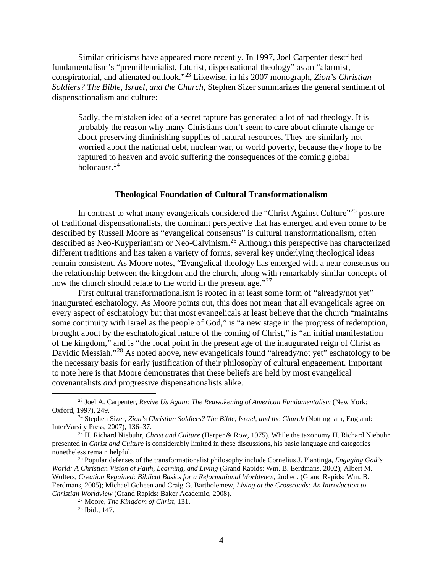Similar criticisms have appeared more recently. In 1997, Joel Carpenter described fundamentalism's "premillennialist, futurist, dispensational theology" as an "alarmist, conspiratorial, and alienated outlook."[23](#page-3-0) Likewise, in his 2007 monograph, *Zion's Christian Soldiers? The Bible, Israel, and the Church*, Stephen Sizer summarizes the general sentiment of dispensationalism and culture:

Sadly, the mistaken idea of a secret rapture has generated a lot of bad theology. It is probably the reason why many Christians don't seem to care about climate change or about preserving diminishing supplies of natural resources. They are similarly not worried about the national debt, nuclear war, or world poverty, because they hope to be raptured to heaven and avoid suffering the consequences of the coming global holocaust.<sup>[24](#page-3-1)</sup>

# **Theological Foundation of Cultural Transformationalism**

In contrast to what many evangelicals considered the "Christ Against Culture"<sup>[25](#page-3-2)</sup> posture of traditional dispensationalists, the dominant perspective that has emerged and even come to be described by Russell Moore as "evangelical consensus" is cultural transformationalism, often described as Neo-Kuyperianism or Neo-Calvinism.[26](#page-3-3) Although this perspective has characterized different traditions and has taken a variety of forms, several key underlying theological ideas remain consistent. As Moore notes, "Evangelical theology has emerged with a near consensus on the relationship between the kingdom and the church, along with remarkably similar concepts of how the church should relate to the world in the present age."<sup>[27](#page-3-4)</sup>

First cultural transformationalism is rooted in at least some form of "already/not yet" inaugurated eschatology. As Moore points out, this does not mean that all evangelicals agree on every aspect of eschatology but that most evangelicals at least believe that the church "maintains some continuity with Israel as the people of God," is "a new stage in the progress of redemption, brought about by the eschatological nature of the coming of Christ," is "an initial manifestation of the kingdom," and is "the focal point in the present age of the inaugurated reign of Christ as Davidic Messiah."<sup>[28](#page-3-5)</sup> As noted above, new evangelicals found "already/not yet" eschatology to be the necessary basis for early justification of their philosophy of cultural engagement. Important to note here is that Moore demonstrates that these beliefs are held by most evangelical covenantalists *and* progressive dispensationalists alike.

<span id="page-3-0"></span><sup>23</sup> Joel A. Carpenter, *Revive Us Again: The Reawakening of American Fundamentalism* (New York: Oxford, 1997), 249.

<span id="page-3-1"></span><sup>24</sup> Stephen Sizer, *Zion's Christian Soldiers? The Bible, Israel, and the Church* (Nottingham, England: InterVarsity Press, 2007), 136–37.

<span id="page-3-2"></span><sup>25</sup> H. Richard Niebuhr, *Christ and Culture* (Harper & Row, 1975). While the taxonomy H. Richard Niebuhr presented in *Christ and Culture* is considerably limited in these discussions, his basic language and categories nonetheless remain helpful.

<span id="page-3-5"></span><span id="page-3-4"></span><span id="page-3-3"></span><sup>26</sup> Popular defenses of the transformationalist philosophy include Cornelius J. Plantinga, *Engaging God's World: A Christian Vision of Faith, Learning, and Living* (Grand Rapids: Wm. B. Eerdmans, 2002); Albert M. Wolters, *Creation Regained: Biblical Basics for a Reformational Worldview*, 2nd ed. (Grand Rapids: Wm. B. Eerdmans, 2005); Michael Goheen and Craig G. Bartholemew, *Living at the Crossroads: An Introduction to Christian Worldview* (Grand Rapids: Baker Academic, 2008).

<sup>27</sup> Moore, *The Kingdom of Christ*, 131.

<sup>28</sup> Ibid., 147.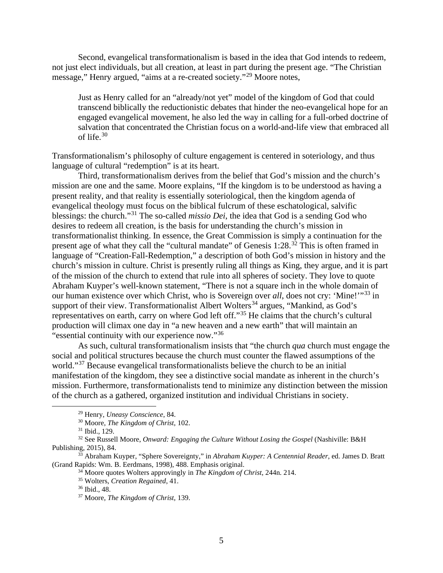Second, evangelical transformationalism is based in the idea that God intends to redeem, not just elect individuals, but all creation, at least in part during the present age. "The Christian message," Henry argued, "aims at a re-created society."[29](#page-4-0) Moore notes,

Just as Henry called for an "already/not yet" model of the kingdom of God that could transcend biblically the reductionistic debates that hinder the neo-evangelical hope for an engaged evangelical movement, he also led the way in calling for a full-orbed doctrine of salvation that concentrated the Christian focus on a world-and-life view that embraced all of life.[30](#page-4-1)

Transformationalism's philosophy of culture engagement is centered in soteriology, and thus language of cultural "redemption" is at its heart.

Third, transformationalism derives from the belief that God's mission and the church's mission are one and the same. Moore explains, "If the kingdom is to be understood as having a present reality, and that reality is essentially soteriological, then the kingdom agenda of evangelical theology must focus on the biblical fulcrum of these eschatological, salvific blessings: the church."[31](#page-4-2) The so-called *missio Dei*, the idea that God is a sending God who desires to redeem all creation, is the basis for understanding the church's mission in transformationalist thinking. In essence, the Great Commission is simply a continuation for the present age of what they call the "cultural mandate" of Genesis 1:28.<sup>[32](#page-4-3)</sup> This is often framed in language of "Creation-Fall-Redemption," a description of both God's mission in history and the church's mission in culture. Christ is presently ruling all things as King, they argue, and it is part of the mission of the church to extend that rule into all spheres of society. They love to quote Abraham Kuyper's well-known statement, "There is not a square inch in the whole domain of our human existence over which Christ, who is Sovereign over *all*, does not cry: 'Mine!'"<sup>[33](#page-4-4)</sup> in support of their view. Transformationalist Albert Wolters<sup>[34](#page-4-5)</sup> argues, "Mankind, as God's representatives on earth, carry on where God left off."[35](#page-4-6) He claims that the church's cultural production will climax one day in "a new heaven and a new earth" that will maintain an "essential continuity with our experience now."[36](#page-4-7)

As such, cultural transformationalism insists that "the church *qua* church must engage the social and political structures because the church must counter the flawed assumptions of the world."<sup>[37](#page-4-8)</sup> Because evangelical transformationalists believe the church to be an initial manifestation of the kingdom, they see a distinctive social mandate as inherent in the church's mission. Furthermore, transformationalists tend to minimize any distinction between the mission of the church as a gathered, organized institution and individual Christians in society.

<sup>29</sup> Henry, *Uneasy Conscience*, 84.

<sup>30</sup> Moore, *The Kingdom of Christ*, 102.

<sup>31</sup> Ibid., 129.

<span id="page-4-3"></span><span id="page-4-2"></span><span id="page-4-1"></span><span id="page-4-0"></span><sup>32</sup> See Russell Moore, *Onward: Engaging the Culture Without Losing the Gospel* (Nashiville: B&H Publishing, 2015), 84.

<span id="page-4-8"></span><span id="page-4-7"></span><span id="page-4-6"></span><span id="page-4-5"></span><span id="page-4-4"></span><sup>33</sup> Abraham Kuyper, "Sphere Sovereignty," in *Abraham Kuyper: A Centennial Reader*, ed. James D. Bratt (Grand Rapids: Wm. B. Eerdmans, 1998), 488. Emphasis original.

<sup>34</sup> Moore quotes Wolters approvingly in *The Kingdom of Christ*, 244n. 214.

<sup>35</sup> Wolters, *Creation Regained*, 41.

<sup>36</sup> Ibid., 48.

<sup>37</sup> Moore, *The Kingdom of Christ*, 139.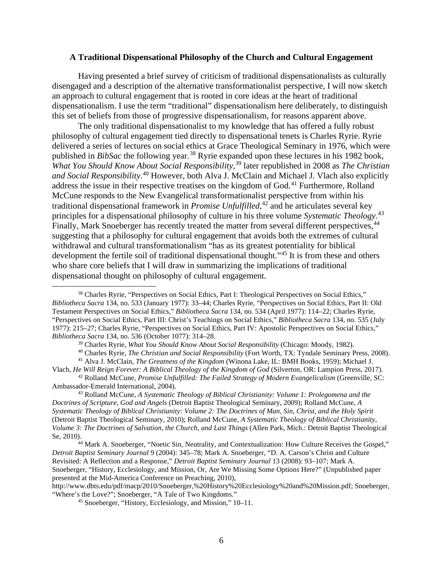#### **A Traditional Dispensational Philosophy of the Church and Cultural Engagement**

Having presented a brief survey of criticism of traditional dispensationalists as culturally disengaged and a description of the alternative transformationalist perspective, I will now sketch an approach to cultural engagement that is rooted in core ideas at the heart of traditional dispensationalism. I use the term "traditional" dispensationalism here deliberately, to distinguish this set of beliefs from those of progressive dispensationalism, for reasons apparent above.

The only traditional dispensationalist to my knowledge that has offered a fully robust philosophy of cultural engagement tied directly to dispensational tenets is Charles Ryrie. Ryrie delivered a series of lectures on social ethics at Grace Theological Seminary in 1976, which were published in *BibSac* the following year.<sup>[38](#page-5-0)</sup> Ryrie expanded upon these lectures in his 1982 book, *What You Should Know About Social Responsibility*, [39](#page-5-1) later republished in 2008 as *The Christian and Social Responsibility*. [40](#page-5-2) However, both Alva J. McClain and Michael J. Vlach also explicitly address the issue in their respective treatises on the kingdom of God.<sup>[41](#page-5-3)</sup> Furthermore, Rolland McCune responds to the New Evangelical transformationalist perspective from within his traditional dispensational framework in *Promise Unfulfilled*, [42](#page-5-4) and he articulates several key principles for a dispensational philosophy of culture in his three volume *Systematic Theology*. [43](#page-5-5) Finally, Mark Snoeberger has recently treated the matter from several different perspectives,<sup>[44](#page-5-6)</sup> suggesting that a philosophy for cultural engagement that avoids both the extremes of cultural withdrawal and cultural transformationalism "has as its greatest potentiality for biblical development the fertile soil of traditional dispensational thought."[45](#page-5-7) It is from these and others who share core beliefs that I will draw in summarizing the implications of traditional dispensational thought on philosophy of cultural engagement.

<sup>39</sup> Charles Ryrie, *What You Should Know About Social Responsibility* (Chicago: Moody, 1982).

<span id="page-5-5"></span><sup>43</sup> Rolland McCune, *A Systematic Theology of Biblical Christianity: Volume 1: Prolegomena and the Doctrines of Scripture, God and Angels* (Detroit Baptist Theological Seminary, 2009); Rolland McCune, *A Systematic Theology of Biblical Christianity: Volume 2: The Doctrines of Man, Sin, Christ, and the Holy Spirit* (Detroit Baptist Theological Seminary, 2010); Rolland McCune, *A Systematic Theology of Biblical Christianity, Volume 3: The Doctrines of Salvation, the Church, and Last Things* (Allen Park, Mich.: Detroit Baptist Theological Se, 2010).<br><sup>44</sup> Mark A. Snoeberger, "Noetic Sin, Neutrality, and Contextualization: How Culture Receives the Gospel,"

<span id="page-5-0"></span><sup>&</sup>lt;sup>38</sup> Charles Ryrie, "Perspectives on Social Ethics, Part I: Theological Perspectives on Social Ethics," *Bibliotheca Sacra* 134, no. 533 (January 1977): 33–44; Charles Ryrie, "Perspectives on Social Ethics, Part II: Old Testament Perspectives on Social Ethics," *Bibliotheca Sacra* 134, no. 534 (April 1977): 114–22; Charles Ryrie, "Perspectives on Social Ethics, Part III: Christ's Teachings on Social Ethics," *Bibliotheca Sacra* 134, no. 535 (July 1977): 215–27; Charles Ryrie, "Perspectives on Social Ethics, Part IV: Apostolic Perspectives on Social Ethics," *Bibliotheca Sacra* 134, no. 536 (October 1077): 314–28.

<sup>40</sup> Charles Ryrie, *The Christian and Social Responsibility* (Fort Worth, TX: Tyndale Seminary Press, 2008). <sup>41</sup> Alva J. McClain, *The Greatness of the Kingdom* (Winona Lake, IL: BMH Books, 1959); Michael J.

<span id="page-5-4"></span><span id="page-5-3"></span><span id="page-5-2"></span><span id="page-5-1"></span>Vlach, *He Will Reign Forever: A Biblical Theology of the Kingdom of God* (Silverton, OR: Lampion Press, 2017). <sup>42</sup> Rolland McCune, *Promise Unfulfilled: The Failed Strategy of Modern Evangelicalism* (Greenville, SC: Ambassador-Emerald International, 2004).

<span id="page-5-6"></span>*Detroit Baptist Seminary Journal* 9 (2004): 345–78; Mark A. Snoeberger, "D. A. Carson's Christ and Culture Revisited: A Reflection and a Response," *Detroit Baptist Seminary Journal* 13 (2008): 93–107; Mark A. Snoeberger, "History, Ecclesiology, and Mission, Or, Are We Missing Some Options Here?" (Unpublished paper presented at the Mid-America Conference on Preaching, 2010),

<span id="page-5-7"></span>http://www.dbts.edu/pdf/macp/2010/Snoeberger,%20History%20Ecclesiology%20and%20Mission.pdf; Snoeberger, "Where's the Love?"; Snoeberger, "A Tale of Two Kingdoms."

<sup>45</sup> Snoeberger, "History, Ecclesiology, and Mission," 10–11.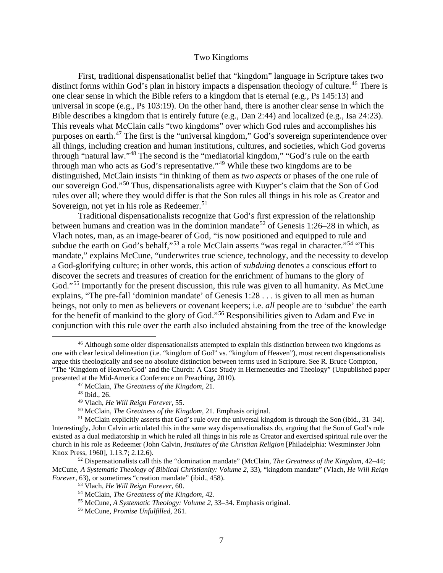## Two Kingdoms

First, traditional dispensationalist belief that "kingdom" language in Scripture takes two distinct forms within God's plan in history impacts a dispensation theology of culture.<sup>[46](#page-6-0)</sup> There is one clear sense in which the Bible refers to a kingdom that is eternal (e.g., Ps 145:13) and universal in scope (e.g., Ps 103:19). On the other hand, there is another clear sense in which the Bible describes a kingdom that is entirely future (e.g., Dan 2:44) and localized (e.g., Isa 24:23). This reveals what McClain calls "two kingdoms" over which God rules and accomplishes his purposes on earth.[47](#page-6-1) The first is the "universal kingdom," God's sovereign superintendence over all things, including creation and human institutions, cultures, and societies, which God governs through "natural law."[48](#page-6-2) The second is the "mediatorial kingdom," "God's rule on the earth through man who acts as God's representative."[49](#page-6-3) While these two kingdoms are to be distinguished, McClain insists "in thinking of them as *two aspects* or phases of the one rule of our sovereign God."[50](#page-6-4) Thus, dispensationalists agree with Kuyper's claim that the Son of God rules over all; where they would differ is that the Son rules all things in his role as Creator and Sovereign, not yet in his role as Redeemer.<sup>[51](#page-6-5)</sup>

Traditional dispensationalists recognize that God's first expression of the relationship between humans and creation was in the dominion mandate<sup>[52](#page-6-6)</sup> of Genesis 1:26–28 in which, as Vlach notes, man, as an image-bearer of God, "is now positioned and equipped to rule and subdue the earth on God's behalf,"<sup>[53](#page-6-7)</sup> a role McClain asserts "was regal in character."<sup>[54](#page-6-8)</sup> "This mandate," explains McCune, "underwrites true science, technology, and the necessity to develop a God-glorifying culture; in other words, this action of *subduing* denotes a conscious effort to discover the secrets and treasures of creation for the enrichment of humans to the glory of God."<sup>[55](#page-6-9)</sup> Importantly for the present discussion, this rule was given to all humanity. As McCune explains, "The pre-fall 'dominion mandate' of Genesis 1:28 . . . is given to all men as human beings, not only to men as believers or covenant keepers; i.e. *all* people are to 'subdue' the earth for the benefit of mankind to the glory of God."[56](#page-6-10) Responsibilities given to Adam and Eve in conjunction with this rule over the earth also included abstaining from the tree of the knowledge

<span id="page-6-0"></span><sup>&</sup>lt;sup>46</sup> Although some older dispensationalists attempted to explain this distinction between two kingdoms as one with clear lexical delineation (i.e. "kingdom of God" vs. "kingdom of Heaven"), most recent dispensationalists argue this theologically and see no absolute distinction between terms used in Scripture. See R. Bruce Compton, "The 'Kingdom of Heaven/God' and the Church: A Case Study in Hermeneutics and Theology" (Unpublished paper presented at the Mid-America Conference on Preaching, 2010).

<sup>47</sup> McClain, *The Greatness of the Kingdom*, 21.

<sup>48</sup> Ibid., 26.

<sup>49</sup> Vlach, *He Will Reign Forever*, 55.

<sup>50</sup> McClain, *The Greatness of the Kingdom*, 21. Emphasis original.

<span id="page-6-5"></span><span id="page-6-4"></span><span id="page-6-3"></span><span id="page-6-2"></span><span id="page-6-1"></span> $51$  McClain explicitly asserts that God's rule over the universal kingdom is through the Son (ibid., 31–34). Interestingly, John Calvin articulated this in the same way dispensationalists do, arguing that the Son of God's rule existed as a dual mediatorship in which he ruled all things in his role as Creator and exercised spiritual rule over the church in his role as Redeemer (John Calvin, *Institutes of the Christian Religion* [Philadelphia: Westminster John Knox Press, 1960], 1.13.7; 2.12.6).

<span id="page-6-10"></span><span id="page-6-9"></span><span id="page-6-8"></span><span id="page-6-7"></span><span id="page-6-6"></span><sup>52</sup> Dispensationalists call this the "domination mandate" (McClain, *The Greatness of the Kingdom*, 42–44; McCune, *A Systematic Theology of Biblical Christianity: Volume 2*, 33), "kingdom mandate" (Vlach, *He Will Reign Forever*, 63), or sometimes "creation mandate" (ibid., 458).

<sup>53</sup> Vlach, *He Will Reign Forever*, 60.

<sup>54</sup> McClain, *The Greatness of the Kingdom*, 42.

<sup>55</sup> McCune, *A Systematic Theology: Volume 2*, 33–34. Emphasis original.

<sup>56</sup> McCune, *Promise Unfulfilled*, 261.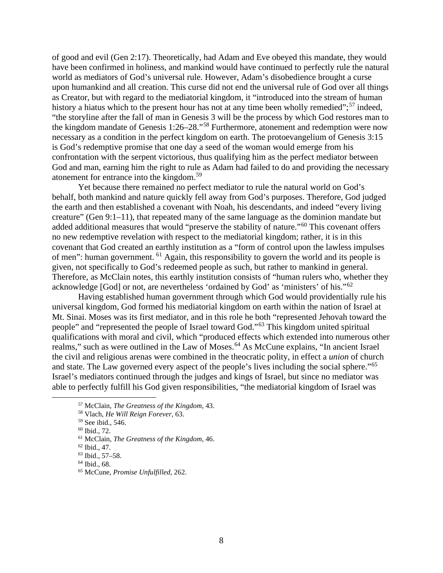of good and evil (Gen 2:17). Theoretically, had Adam and Eve obeyed this mandate, they would have been confirmed in holiness, and mankind would have continued to perfectly rule the natural world as mediators of God's universal rule. However, Adam's disobedience brought a curse upon humankind and all creation. This curse did not end the universal rule of God over all things as Creator, but with regard to the mediatorial kingdom, it "introduced into the stream of human history a hiatus which to the present hour has not at any time been wholly remedied";<sup>[57](#page-7-0)</sup> indeed, "the storyline after the fall of man in Genesis 3 will be the process by which God restores man to the kingdom mandate of Genesis 1:26–28."[58](#page-7-1) Furthermore, atonement and redemption were now necessary as a condition in the perfect kingdom on earth. The protoevangelium of Genesis 3:15 is God's redemptive promise that one day a seed of the woman would emerge from his confrontation with the serpent victorious, thus qualifying him as the perfect mediator between God and man, earning him the right to rule as Adam had failed to do and providing the necessary atonement for entrance into the kingdom.<sup>[59](#page-7-2)</sup>

Yet because there remained no perfect mediator to rule the natural world on God's behalf, both mankind and nature quickly fell away from God's purposes. Therefore, God judged the earth and then established a covenant with Noah, his descendants, and indeed "every living creature" (Gen 9:1–11), that repeated many of the same language as the dominion mandate but added additional measures that would "preserve the stability of nature."<sup>[60](#page-7-3)</sup> This covenant offers no new redemptive revelation with respect to the mediatorial kingdom; rather, it is in this covenant that God created an earthly institution as a "form of control upon the lawless impulses of men": human government. [61](#page-7-4) Again, this responsibility to govern the world and its people is given, not specifically to God's redeemed people as such, but rather to mankind in general. Therefore, as McClain notes, this earthly institution consists of "human rulers who, whether they acknowledge [God] or not, are nevertheless 'ordained by God' as 'ministers' of his."[62](#page-7-5)

Having established human government through which God would providentially rule his universal kingdom, God formed his mediatorial kingdom on earth within the nation of Israel at Mt. Sinai. Moses was its first mediator, and in this role he both "represented Jehovah toward the people" and "represented the people of Israel toward God."[63](#page-7-6) This kingdom united spiritual qualifications with moral and civil, which "produced effects which extended into numerous other realms," such as were outlined in the Law of Moses.<sup>[64](#page-7-7)</sup> As McCune explains, "In ancient Israel the civil and religious arenas were combined in the theocratic polity, in effect a *union* of church and state. The Law governed every aspect of the people's lives including the social sphere.<sup>"[65](#page-7-8)</sup> Israel's mediators continued through the judges and kings of Israel, but since no mediator was able to perfectly fulfill his God given responsibilities, "the mediatorial kingdom of Israel was

<span id="page-7-0"></span><sup>57</sup> McClain, *The Greatness of the Kingdom*, 43.

<span id="page-7-1"></span><sup>58</sup> Vlach, *He Will Reign Forever*, 63.

<span id="page-7-2"></span><sup>59</sup> See ibid., 546.

<sup>60</sup> Ibid., 72.

<span id="page-7-5"></span><span id="page-7-4"></span><span id="page-7-3"></span><sup>61</sup> McClain, *The Greatness of the Kingdom*, 46.

<sup>62</sup> Ibid., 47.

<span id="page-7-6"></span><sup>63</sup> Ibid., 57–58.

<span id="page-7-7"></span><sup>64</sup> Ibid., 68.

<span id="page-7-8"></span><sup>65</sup> McCune, *Promise Unfulfilled*, 262.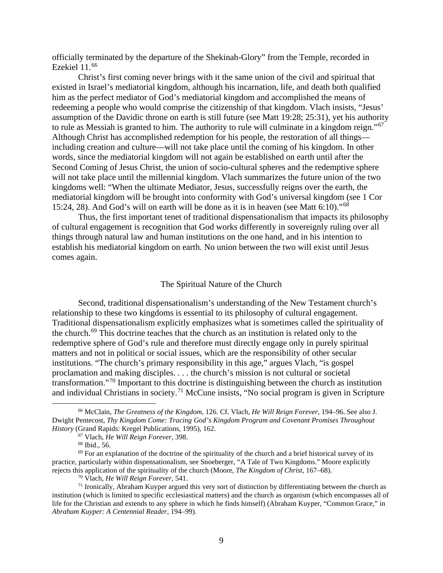officially terminated by the departure of the Shekinah-Glory" from the Temple, recorded in Ezekiel 11.[66](#page-8-0)

Christ's first coming never brings with it the same union of the civil and spiritual that existed in Israel's mediatorial kingdom, although his incarnation, life, and death both qualified him as the perfect mediator of God's mediatorial kingdom and accomplished the means of redeeming a people who would comprise the citizenship of that kingdom. Vlach insists, "Jesus' assumption of the Davidic throne on earth is still future (see Matt 19:28; 25:31), yet his authority to rule as Messiah is granted to him. The authority to rule will culminate in a kingdom reign."[67](#page-8-1) Although Christ has accomplished redemption for his people, the restoration of all things including creation and culture—will not take place until the coming of his kingdom. In other words, since the mediatorial kingdom will not again be established on earth until after the Second Coming of Jesus Christ, the union of socio-cultural spheres and the redemptive sphere will not take place until the millennial kingdom. Vlach summarizes the future union of the two kingdoms well: "When the ultimate Mediator, Jesus, successfully reigns over the earth, the mediatorial kingdom will be brought into conformity with God's universal kingdom (see 1 Cor 15:24, 28). And God's will on earth will be done as it is in heaven (see Matt 6:10)."[68](#page-8-2)

Thus, the first important tenet of traditional dispensationalism that impacts its philosophy of cultural engagement is recognition that God works differently in sovereignly ruling over all things through natural law and human institutions on the one hand, and in his intention to establish his mediatorial kingdom on earth. No union between the two will exist until Jesus comes again.

## The Spiritual Nature of the Church

Second, traditional dispensationalism's understanding of the New Testament church's relationship to these two kingdoms is essential to its philosophy of cultural engagement. Traditional dispensationalism explicitly emphasizes what is sometimes called the spirituality of the church.[69](#page-8-3) This doctrine teaches that the church as an institution is related only to the redemptive sphere of God's rule and therefore must directly engage only in purely spiritual matters and not in political or social issues, which are the responsibility of other secular institutions. "The church's primary responsibility in this age," argues Vlach, "is gospel proclamation and making disciples. . . . the church's mission is not cultural or societal transformation."[70](#page-8-4) Important to this doctrine is distinguishing between the church as institution and individual Christians in society.<sup>[71](#page-8-5)</sup> McCune insists, "No social program is given in Scripture

<span id="page-8-0"></span><sup>66</sup> McClain, *The Greatness of the Kingdom*, 126. Cf. Vlach, *He Will Reign Forever*, 194–96. See also J. Dwight Pentecost, *Thy Kingdom Come: Tracing God's Kingdom Program and Covenant Promises Throughout History* (Grand Rapids: Kregel Publications, 1995), 162.

<sup>67</sup> Vlach, *He Will Reign Forever*, 398.

<sup>68</sup> Ibid., 56.

<span id="page-8-3"></span><span id="page-8-2"></span><span id="page-8-1"></span> $69$  For an explanation of the doctrine of the spirituality of the church and a brief historical survey of its practice, particularly within dispensationalism, see Snoeberger, "A Tale of Two Kingdoms." Moore explicitly rejects this application of the spirituality of the church (Moore, *The Kingdom of Christ*, 167–68).

<sup>70</sup> Vlach, *He Will Reign Forever*, 541.

<span id="page-8-5"></span><span id="page-8-4"></span> $71$  Ironically, Abraham Kuyper argued this very sort of distinction by differentiating between the church as institution (which is limited to specific ecclesiastical matters) and the church as organism (which encompasses all of life for the Christian and extends to any sphere in which he finds himself) (Abraham Kuyper, "Common Grace," in *Abraham Kuyper: A Centennial Reader*, 194–99).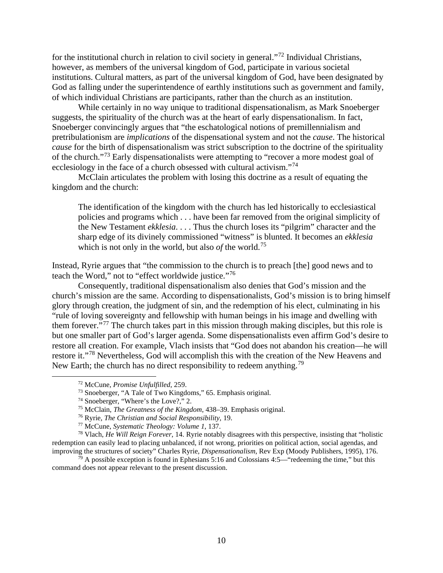for the institutional church in relation to civil society in general."[72](#page-9-0) Individual Christians, however, as members of the universal kingdom of God, participate in various societal institutions. Cultural matters, as part of the universal kingdom of God, have been designated by God as falling under the superintendence of earthly institutions such as government and family, of which individual Christians are participants, rather than the church as an institution.

While certainly in no way unique to traditional dispensationalism, as Mark Snoeberger suggests, the spirituality of the church was at the heart of early dispensationalism. In fact, Snoeberger convincingly argues that "the eschatological notions of premillennialism and pretribulationism are *implications* of the dispensational system and not the *cause*. The historical *cause* for the birth of dispensationalism was strict subscription to the doctrine of the spirituality of the church."[73](#page-9-1) Early dispensationalists were attempting to "recover a more modest goal of ecclesiology in the face of a church obsessed with cultural activism."<sup>[74](#page-9-2)</sup>

McClain articulates the problem with losing this doctrine as a result of equating the kingdom and the church:

The identification of the kingdom with the church has led historically to ecclesiastical policies and programs which . . . have been far removed from the original simplicity of the New Testament *ekklesia*. . . . Thus the church loses its "pilgrim" character and the sharp edge of its divinely commissioned "witness" is blunted. It becomes an *ekklesia* which is not only in the world, but also *of* the world.<sup>[75](#page-9-3)</sup>

Instead, Ryrie argues that "the commission to the church is to preach [the] good news and to teach the Word," not to "effect worldwide justice."[76](#page-9-4)

Consequently, traditional dispensationalism also denies that God's mission and the church's mission are the same. According to dispensationalists, God's mission is to bring himself glory through creation, the judgment of sin, and the redemption of his elect, culminating in his "rule of loving sovereignty and fellowship with human beings in his image and dwelling with them forever."[77](#page-9-5) The church takes part in this mission through making disciples, but this role is but one smaller part of God's larger agenda. Some dispensationalists even affirm God's desire to restore all creation. For example, Vlach insists that "God does not abandon his creation—he will restore it."[78](#page-9-6) Nevertheless, God will accomplish this with the creation of the New Heavens and New Earth; the church has no direct responsibility to redeem anything.<sup>[79](#page-9-7)</sup>

<sup>72</sup> McCune, *Promise Unfulfilled*, 259.

<sup>73</sup> Snoeberger, "A Tale of Two Kingdoms," 65. Emphasis original.

<sup>74</sup> Snoeberger, "Where's the Love?," 2.

<sup>75</sup> McClain, *The Greatness of the Kingdom*, 438–39. Emphasis original.

<sup>76</sup> Ryrie, *The Christian and Social Responsibility*, 19.

<sup>77</sup> McCune, *Systematic Theology: Volume 1*, 137.

<span id="page-9-6"></span><span id="page-9-5"></span><span id="page-9-4"></span><span id="page-9-3"></span><span id="page-9-2"></span><span id="page-9-1"></span><span id="page-9-0"></span><sup>78</sup> Vlach, *He Will Reign Forever*, 14. Ryrie notably disagrees with this perspective, insisting that "holistic redemption can easily lead to placing unbalanced, if not wrong, priorities on political action, social agendas, and improving the structures of society" Charles Ryrie, *Dispensationalism*, Rev Exp (Moody Publishers, 1995), 176.

<span id="page-9-7"></span> $79$  A possible exception is found in Ephesians 5:16 and Colossians 4:5—"redeeming the time," but this command does not appear relevant to the present discussion.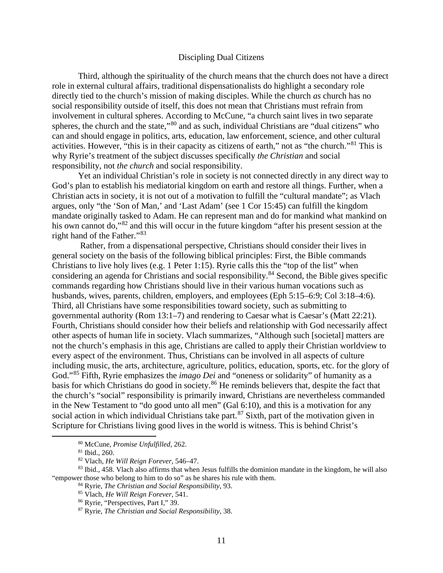# Discipling Dual Citizens

Third, although the spirituality of the church means that the church does not have a direct role in external cultural affairs, traditional dispensationalists do highlight a secondary role directly tied to the church's mission of making disciples. While the church *as* church has no social responsibility outside of itself, this does not mean that Christians must refrain from involvement in cultural spheres. According to McCune, "a church saint lives in two separate spheres, the church and the state,"<sup>[80](#page-10-0)</sup> and as such, individual Christians are "dual citizens" who can and should engage in politics, arts, education, law enforcement, science, and other cultural activities. However, "this is in their capacity as citizens of earth," not as "the church."[81](#page-10-1) This is why Ryrie's treatment of the subject discusses specifically *the Christian* and social responsibility, not *the church* and social responsibility.

Yet an individual Christian's role in society is not connected directly in any direct way to God's plan to establish his mediatorial kingdom on earth and restore all things. Further, when a Christian acts in society, it is not out of a motivation to fulfill the "cultural mandate"; as Vlach argues, only "the 'Son of Man,' and 'Last Adam' (see 1 Cor 15:45) can fulfill the kingdom mandate originally tasked to Adam. He can represent man and do for mankind what mankind on his own cannot do,"<sup>[82](#page-10-2)</sup> and this will occur in the future kingdom "after his present session at the right hand of the Father."[83](#page-10-3)

Rather, from a dispensational perspective, Christians should consider their lives in general society on the basis of the following biblical principles: First, the Bible commands Christians to live holy lives (e.g. 1 Peter 1:15). Ryrie calls this the "top of the list" when considering an agenda for Christians and social responsibility.<sup>[84](#page-10-4)</sup> Second, the Bible gives specific commands regarding how Christians should live in their various human vocations such as husbands, wives, parents, children, employers, and employees (Eph 5:15–6:9; Col 3:18–4:6). Third, all Christians have some responsibilities toward society, such as submitting to governmental authority (Rom 13:1–7) and rendering to Caesar what is Caesar's (Matt 22:21). Fourth, Christians should consider how their beliefs and relationship with God necessarily affect other aspects of human life in society. Vlach summarizes, "Although such [societal] matters are not the church's emphasis in this age, Christians are called to apply their Christian worldview to every aspect of the environment. Thus, Christians can be involved in all aspects of culture including music, the arts, architecture, agriculture, politics, education, sports, etc. for the glory of God."[85](#page-10-5) Fifth, Ryrie emphasizes the *imago Dei* and "oneness or solidarity" of humanity as a basis for which Christians do good in society.<sup>[86](#page-10-6)</sup> He reminds believers that, despite the fact that the church's "social" responsibility is primarily inward, Christians are nevertheless commanded in the New Testament to "do good unto all men" (Gal 6:10), and this is a motivation for any social action in which individual Christians take part.<sup>[87](#page-10-7)</sup> Sixth, part of the motivation given in Scripture for Christians living good lives in the world is witness. This is behind Christ's

<sup>80</sup> McCune, *Promise Unfulfilled*, 262.

<sup>81</sup> Ibid., 260.

<sup>82</sup> Vlach, *He Will Reign Forever*, 546–47.

<span id="page-10-7"></span><span id="page-10-6"></span><span id="page-10-5"></span><span id="page-10-4"></span><span id="page-10-3"></span><span id="page-10-2"></span><span id="page-10-1"></span><span id="page-10-0"></span><sup>83</sup> Ibid., 458. Vlach also affirms that when Jesus fulfills the dominion mandate in the kingdom, he will also "empower those who belong to him to do so" as he shares his rule with them.

<sup>84</sup> Ryrie, *The Christian and Social Responsibility*, 93.

<sup>85</sup> Vlach, *He Will Reign Forever*, 541.

<sup>86</sup> Ryrie, "Perspectives, Part I," 39.

<sup>87</sup> Ryrie, *The Christian and Social Responsibility*, 38.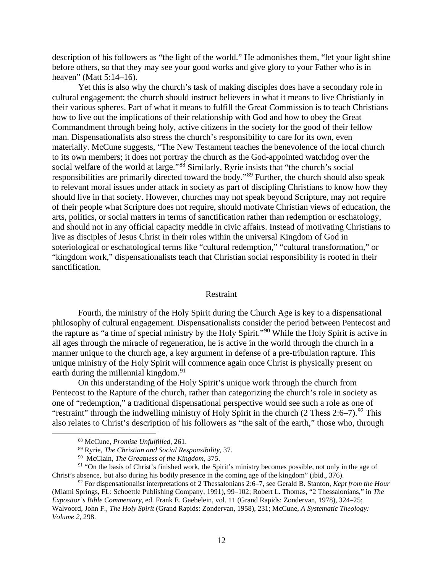description of his followers as "the light of the world." He admonishes them, "let your light shine before others, so that they may see your good works and give glory to your Father who is in heaven" (Matt 5:14–16).

Yet this is also why the church's task of making disciples does have a secondary role in cultural engagement; the church should instruct believers in what it means to live Christianly in their various spheres. Part of what it means to fulfill the Great Commission is to teach Christians how to live out the implications of their relationship with God and how to obey the Great Commandment through being holy, active citizens in the society for the good of their fellow man. Dispensationalists also stress the church's responsibility to care for its own, even materially. McCune suggests, "The New Testament teaches the benevolence of the local church to its own members; it does not portray the church as the God-appointed watchdog over the social welfare of the world at large."<sup>[88](#page-11-0)</sup> Similarly, Ryrie insists that "the church's social responsibilities are primarily directed toward the body."[89](#page-11-1) Further, the church should also speak to relevant moral issues under attack in society as part of discipling Christians to know how they should live in that society. However, churches may not speak beyond Scripture, may not require of their people what Scripture does not require, should motivate Christian views of education, the arts, politics, or social matters in terms of sanctification rather than redemption or eschatology, and should not in any official capacity meddle in civic affairs. Instead of motivating Christians to live as disciples of Jesus Christ in their roles within the universal Kingdom of God in soteriological or eschatological terms like "cultural redemption," "cultural transformation," or "kingdom work," dispensationalists teach that Christian social responsibility is rooted in their sanctification.

## Restraint

Fourth, the ministry of the Holy Spirit during the Church Age is key to a dispensational philosophy of cultural engagement. Dispensationalists consider the period between Pentecost and the rapture as "a time of special ministry by the Holy Spirit."[90](#page-11-2) While the Holy Spirit is active in all ages through the miracle of regeneration, he is active in the world through the church in a manner unique to the church age, a key argument in defense of a pre-tribulation rapture. This unique ministry of the Holy Spirit will commence again once Christ is physically present on earth during the millennial kingdom.<sup>[91](#page-11-3)</sup>

On this understanding of the Holy Spirit's unique work through the church from Pentecost to the Rapture of the church, rather than categorizing the church's role in society as one of "redemption," a traditional dispensational perspective would see such a role as one of "restraint" through the indwelling ministry of Holy Spirit in the church  $(2 \text{ Thess } 2.6-7)$ . <sup>[92](#page-11-4)</sup> This also relates to Christ's description of his followers as "the salt of the earth," those who, through

<span id="page-11-3"></span><span id="page-11-2"></span><span id="page-11-1"></span><span id="page-11-0"></span><sup>91</sup> "On the basis of Christ's finished work, the Spirit's ministry becomes possible, not only in the age of Christ's absence, but also during his bodily presence in the coming age of the kingdom" (ibid., 376).

<span id="page-11-4"></span><sup>92</sup> For dispensationalist interpretations of 2 Thessalonians 2:6–7, see Gerald B. Stanton, *Kept from the Hour* (Miami Springs, FL: Schoettle Publishing Company, 1991), 99–102; Robert L. Thomas, "2 Thessalonians," in *The Expositor's Bible Commentary*, ed. Frank E. Gaebelein, vol. 11 (Grand Rapids: Zondervan, 1978), 324–25; Walvoord, John F., *The Holy Spirit* (Grand Rapids: Zondervan, 1958), 231; McCune, *A Systematic Theology: Volume 2*, 298.

<sup>88</sup> McCune, *Promise Unfulfilled*, 261.

<sup>89</sup> Ryrie, *The Christian and Social Responsibility*, 37.

<sup>90</sup> McClain, *The Greatness of the Kingdom*, 375.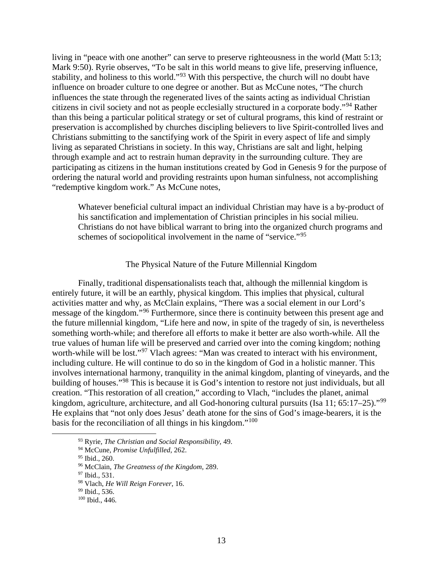living in "peace with one another" can serve to preserve righteousness in the world (Matt 5:13; Mark 9:50). Ryrie observes, "To be salt in this world means to give life, preserving influence, stability, and holiness to this world."<sup>[93](#page-12-0)</sup> With this perspective, the church will no doubt have influence on broader culture to one degree or another. But as McCune notes, "The church influences the state through the regenerated lives of the saints acting as individual Christian citizens in civil society and not as people ecclesially structured in a corporate body."[94](#page-12-1) Rather than this being a particular political strategy or set of cultural programs, this kind of restraint or preservation is accomplished by churches discipling believers to live Spirit-controlled lives and Christians submitting to the sanctifying work of the Spirit in every aspect of life and simply living as separated Christians in society. In this way, Christians are salt and light, helping through example and act to restrain human depravity in the surrounding culture. They are participating as citizens in the human institutions created by God in Genesis 9 for the purpose of ordering the natural world and providing restraints upon human sinfulness, not accomplishing "redemptive kingdom work." As McCune notes,

Whatever beneficial cultural impact an individual Christian may have is a by-product of his sanctification and implementation of Christian principles in his social milieu. Christians do not have biblical warrant to bring into the organized church programs and schemes of sociopolitical involvement in the name of "service."<sup>[95](#page-12-2)</sup>

#### The Physical Nature of the Future Millennial Kingdom

Finally, traditional dispensationalists teach that, although the millennial kingdom is entirely future, it will be an earthly, physical kingdom. This implies that physical, cultural activities matter and why, as McClain explains, "There was a social element in our Lord's message of the kingdom."[96](#page-12-3) Furthermore, since there is continuity between this present age and the future millennial kingdom, "Life here and now, in spite of the tragedy of sin, is nevertheless something worth-while; and therefore all efforts to make it better are also worth-while. All the true values of human life will be preserved and carried over into the coming kingdom; nothing worth-while will be lost."<sup>[97](#page-12-4)</sup> Vlach agrees: "Man was created to interact with his environment, including culture. He will continue to do so in the kingdom of God in a holistic manner. This involves international harmony, tranquility in the animal kingdom, planting of vineyards, and the building of houses."[98](#page-12-5) This is because it is God's intention to restore not just individuals, but all creation. "This restoration of all creation," according to Vlach, "includes the planet, animal kingdom, agriculture, architecture, and all God-honoring cultural pursuits (Isa 11; 65:17–25)."<sup>[99](#page-12-6)</sup> He explains that "not only does Jesus' death atone for the sins of God's image-bearers, it is the basis for the reconciliation of all things in his kingdom."[100](#page-12-7)

<sup>93</sup> Ryrie, *The Christian and Social Responsibility*, 49.

<span id="page-12-2"></span><span id="page-12-1"></span><span id="page-12-0"></span><sup>94</sup> McCune, *Promise Unfulfilled*, 262.

<sup>95</sup> Ibid., 260.

<span id="page-12-3"></span><sup>96</sup> McClain, *The Greatness of the Kingdom*, 289.

<span id="page-12-4"></span><sup>&</sup>lt;sup>97</sup> Ibid., 531.

<span id="page-12-6"></span><span id="page-12-5"></span><sup>98</sup> Vlach, *He Will Reign Forever*, 16.

<sup>&</sup>lt;sup>99</sup> Ibid., 536.

<span id="page-12-7"></span><sup>100</sup> Ibid., 446.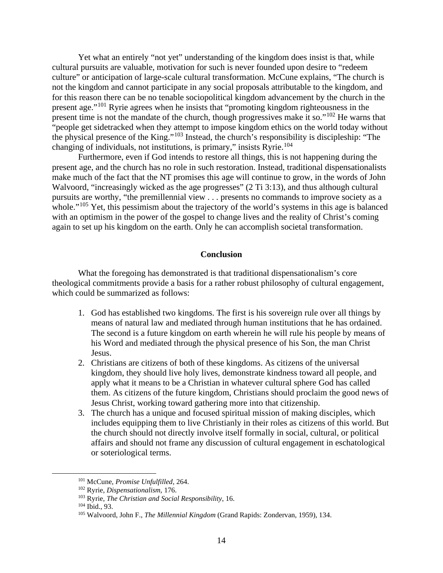Yet what an entirely "not yet" understanding of the kingdom does insist is that, while cultural pursuits are valuable, motivation for such is never founded upon desire to "redeem culture" or anticipation of large-scale cultural transformation. McCune explains, "The church is not the kingdom and cannot participate in any social proposals attributable to the kingdom, and for this reason there can be no tenable sociopolitical kingdom advancement by the church in the present age."[101](#page-13-0) Ryrie agrees when he insists that "promoting kingdom righteousness in the present time is not the mandate of the church, though progressives make it so."<sup>[102](#page-13-1)</sup> He warns that "people get sidetracked when they attempt to impose kingdom ethics on the world today without the physical presence of the King."[103](#page-13-2) Instead, the church's responsibility is discipleship: "The changing of individuals, not institutions, is primary," insists Ryrie.<sup>[104](#page-13-3)</sup>

Furthermore, even if God intends to restore all things, this is not happening during the present age, and the church has no role in such restoration. Instead, traditional dispensationalists make much of the fact that the NT promises this age will continue to grow, in the words of John Walvoord, "increasingly wicked as the age progresses" (2 Ti 3:13), and thus although cultural pursuits are worthy, "the premillennial view . . . presents no commands to improve society as a whole."<sup>[105](#page-13-4)</sup> Yet, this pessimism about the trajectory of the world's systems in this age is balanced with an optimism in the power of the gospel to change lives and the reality of Christ's coming again to set up his kingdom on the earth. Only he can accomplish societal transformation.

## **Conclusion**

What the foregoing has demonstrated is that traditional dispensationalism's core theological commitments provide a basis for a rather robust philosophy of cultural engagement, which could be summarized as follows:

- 1. God has established two kingdoms. The first is his sovereign rule over all things by means of natural law and mediated through human institutions that he has ordained. The second is a future kingdom on earth wherein he will rule his people by means of his Word and mediated through the physical presence of his Son, the man Christ Jesus.
- 2. Christians are citizens of both of these kingdoms. As citizens of the universal kingdom, they should live holy lives, demonstrate kindness toward all people, and apply what it means to be a Christian in whatever cultural sphere God has called them. As citizens of the future kingdom, Christians should proclaim the good news of Jesus Christ, working toward gathering more into that citizenship.
- 3. The church has a unique and focused spiritual mission of making disciples, which includes equipping them to live Christianly in their roles as citizens of this world. But the church should not directly involve itself formally in social, cultural, or political affairs and should not frame any discussion of cultural engagement in eschatological or soteriological terms.

<span id="page-13-0"></span><sup>101</sup> McCune, *Promise Unfulfilled*, 264.

<span id="page-13-1"></span><sup>102</sup> Ryrie, *Dispensationalism*, 176.

<span id="page-13-2"></span><sup>103</sup> Ryrie, *The Christian and Social Responsibility*, 16.

<span id="page-13-3"></span><sup>104</sup> Ibid., 93.

<span id="page-13-4"></span><sup>105</sup> Walvoord, John F., *The Millennial Kingdom* (Grand Rapids: Zondervan, 1959), 134.